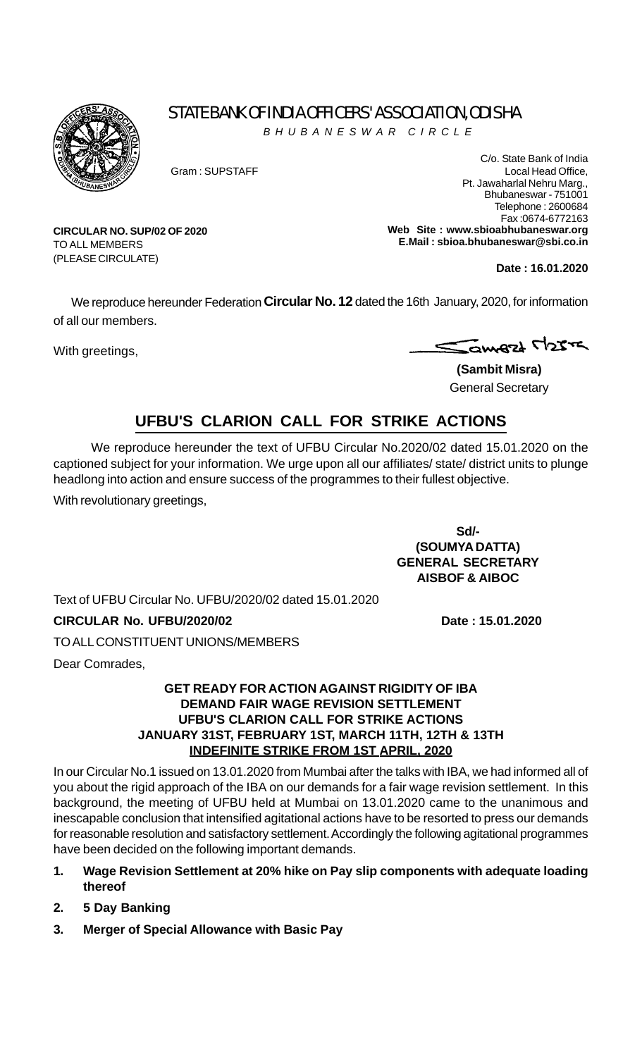

TO ALL MEMBERS (PLEASE CIRCULATE)

**CIRCULAR NO. SUP/02 OF 2020**

# STATE BANK OF INDIA OFFICERS' ASSOCIATION, ODISHA

*BHUBANESWAR CIRCLE*

C/o. State Bank of India Gram : SUPSTAFF Local Head Office, Pt. Jawaharlal Nehru Marg., Bhubaneswar - 751001 Telephone : 2600684 Fax :0674-6772163 **Web Site : www.sbioabhubaneswar.org E.Mail : sbioa.bhubaneswar@sbi.co.in**

**Date : 16.01.2020**

We reproduce hereunder Federation **Circular No. 12** dated the 16th January, 2020, for information of all our members.

With greetings,

Samezt M25T

**(Sambit Misra)** General Secretary

## **UFBU'S CLARION CALL FOR STRIKE ACTIONS**

We reproduce hereunder the text of UFBU Circular No.2020/02 dated 15.01.2020 on the captioned subject for your information. We urge upon all our affiliates/ state/ district units to plunge headlong into action and ensure success of the programmes to their fullest objective.

With revolutionary greetings,

**Sd/- (SOUMYA DATTA) GENERAL SECRETARY AISBOF & AIBOC**

Text of UFBU Circular No. UFBU/2020/02 dated 15.01.2020

### **CIRCULAR No. UFBU/2020/02 Date : 15.01.2020**

TO ALL CONSTITUENT UNIONS/MEMBERS

Dear Comrades,

#### **GET READY FOR ACTION AGAINST RIGIDITY OF IBA DEMAND FAIR WAGE REVISION SETTLEMENT UFBU'S CLARION CALL FOR STRIKE ACTIONS JANUARY 31ST, FEBRUARY 1ST, MARCH 11TH, 12TH & 13TH INDEFINITE STRIKE FROM 1ST APRIL, 2020**

In our Circular No.1 issued on 13.01.2020 from Mumbai after the talks with IBA, we had informed all of you about the rigid approach of the IBA on our demands for a fair wage revision settlement. In this background, the meeting of UFBU held at Mumbai on 13.01.2020 came to the unanimous and inescapable conclusion that intensified agitational actions have to be resorted to press our demands for reasonable resolution and satisfactory settlement. Accordingly the following agitational programmes have been decided on the following important demands.

- **1. Wage Revision Settlement at 20% hike on Pay slip components with adequate loading thereof**
- **2. 5 Day Banking**
- **3. Merger of Special Allowance with Basic Pay**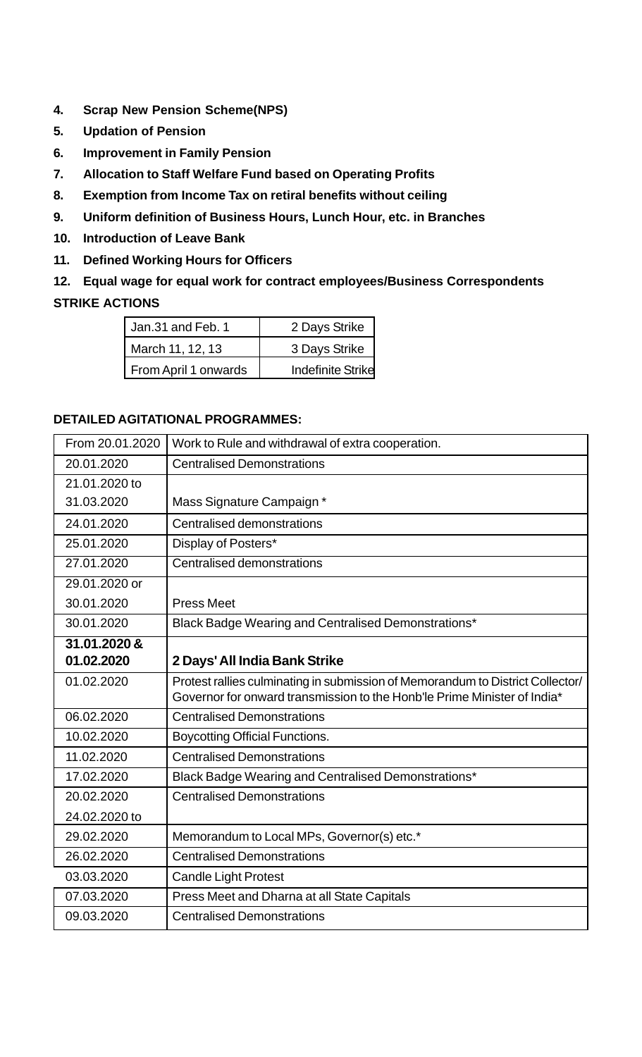- **4. Scrap New Pension Scheme(NPS)**
- **5. Updation of Pension**
- **6. Improvement in Family Pension**
- **7. Allocation to Staff Welfare Fund based on Operating Profits**
- **8. Exemption from Income Tax on retiral benefits without ceiling**
- **9. Uniform definition of Business Hours, Lunch Hour, etc. in Branches**
- **10. Introduction of Leave Bank**
- **11. Defined Working Hours for Officers**
- **12. Equal wage for equal work for contract employees/Business Correspondents STRIKE ACTIONS**

| Jan.31 and Feb. 1    | 2 Days Strike             |
|----------------------|---------------------------|
| March 11, 12, 13     | 3 Days Strike             |
| From April 1 onwards | <b>Indefinite Strikel</b> |

### **DETAILED AGITATIONAL PROGRAMMES:**

| From 20.01.2020 | Work to Rule and withdrawal of extra cooperation.                                                                                                          |
|-----------------|------------------------------------------------------------------------------------------------------------------------------------------------------------|
| 20.01.2020      | <b>Centralised Demonstrations</b>                                                                                                                          |
| 21.01.2020 to   |                                                                                                                                                            |
| 31.03.2020      | Mass Signature Campaign*                                                                                                                                   |
| 24.01.2020      | <b>Centralised demonstrations</b>                                                                                                                          |
| 25.01.2020      | Display of Posters*                                                                                                                                        |
| 27.01.2020      | <b>Centralised demonstrations</b>                                                                                                                          |
| 29.01.2020 or   |                                                                                                                                                            |
| 30.01.2020      | <b>Press Meet</b>                                                                                                                                          |
| 30.01.2020      | Black Badge Wearing and Centralised Demonstrations*                                                                                                        |
| 31.01.2020 &    |                                                                                                                                                            |
| 01.02.2020      | 2 Days' All India Bank Strike                                                                                                                              |
| 01.02.2020      | Protest rallies culminating in submission of Memorandum to District Collector/<br>Governor for onward transmission to the Honb'le Prime Minister of India* |
| 06.02.2020      | <b>Centralised Demonstrations</b>                                                                                                                          |
| 10.02.2020      | <b>Boycotting Official Functions.</b>                                                                                                                      |
| 11.02.2020      | <b>Centralised Demonstrations</b>                                                                                                                          |
| 17.02.2020      | Black Badge Wearing and Centralised Demonstrations*                                                                                                        |
| 20.02.2020      | <b>Centralised Demonstrations</b>                                                                                                                          |
| 24.02.2020 to   |                                                                                                                                                            |
| 29.02.2020      | Memorandum to Local MPs, Governor(s) etc.*                                                                                                                 |
| 26.02.2020      | <b>Centralised Demonstrations</b>                                                                                                                          |
| 03.03.2020      | <b>Candle Light Protest</b>                                                                                                                                |
| 07.03.2020      | Press Meet and Dharna at all State Capitals                                                                                                                |
| 09.03.2020      | <b>Centralised Demonstrations</b>                                                                                                                          |